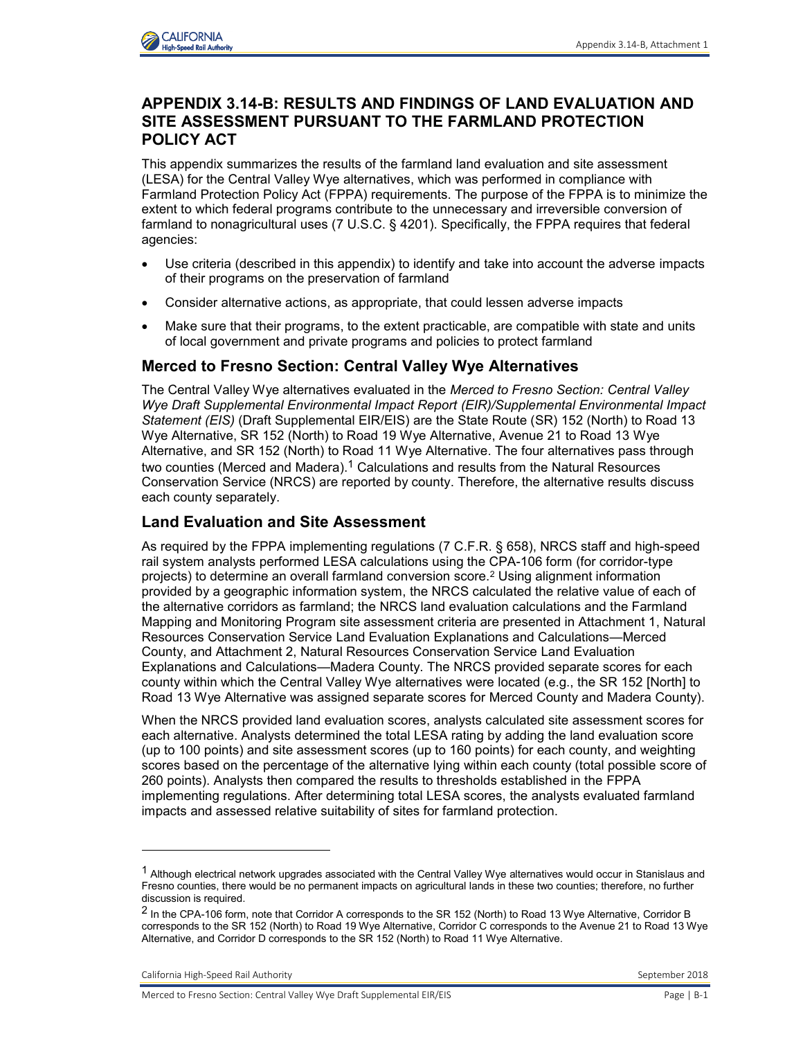

# **APPENDIX 3.14-B: RESULTS AND FINDINGS OF LAND EVALUATION AND SITE ASSESSMENT PURSUANT TO THE FARMLAND PROTECTION POLICY ACT**

This appendix summarizes the results of the farmland land evaluation and site assessment (LESA) for the Central Valley Wye alternatives, which was performed in compliance with Farmland Protection Policy Act (FPPA) requirements. The purpose of the FPPA is to minimize the extent to which federal programs contribute to the unnecessary and irreversible conversion of farmland to nonagricultural uses (7 U.S.C. § 4201). Specifically, the FPPA requires that federal agencies:

- Use criteria (described in this appendix) to identify and take into account the adverse impacts of their programs on the preservation of farmland
- Consider alternative actions, as appropriate, that could lessen adverse impacts
- Make sure that their programs, to the extent practicable, are compatible with state and units of local government and private programs and policies to protect farmland

### **Merced to Fresno Section: Central Valley Wye Alternatives**

The Central Valley Wye alternatives evaluated in the *Merced to Fresno Section: Central Valley Wye Draft Supplemental Environmental Impact Report (EIR)/Supplemental Environmental Impact Statement (EIS)* (Draft Supplemental EIR/EIS) are the State Route (SR) 152 (North) to Road 13 Wye Alternative, SR 152 (North) to Road 19 Wye Alternative, Avenue 21 to Road 13 Wye Alternative, and SR 152 (North) to Road 11 Wye Alternative. The four alternatives pass through two counties (Merced and Madera).<sup>1</sup> Calculations and results from the Natural Resources Conservation Service (NRCS) are reported by county. Therefore, the alternative results discuss each county separately.

## **Land Evaluation and Site Assessment**

As required by the FPPA implementing regulations (7 C.F.R. § 658), NRCS staff and high-speed rail system analysts performed LESA calculations using the CPA-106 form (for corridor-type projects) to determine an overall farmland conversion score.<sup>2</sup> Using alignment information provided by a geographic information system, the NRCS calculated the relative value of each of the alternative corridors as farmland; the NRCS land evaluation calculations and the Farmland Mapping and Monitoring Program site assessment criteria are presented in Attachment 1, Natural Resources Conservation Service Land Evaluation Explanations and Calculations—Merced County, and Attachment 2, Natural Resources Conservation Service Land Evaluation Explanations and Calculations—Madera County. The NRCS provided separate scores for each county within which the Central Valley Wye alternatives were located (e.g., the SR 152 [North] to Road 13 Wye Alternative was assigned separate scores for Merced County and Madera County).

When the NRCS provided land evaluation scores, analysts calculated site assessment scores for each alternative. Analysts determined the total LESA rating by adding the land evaluation score (up to 100 points) and site assessment scores (up to 160 points) for each county, and weighting scores based on the percentage of the alternative lying within each county (total possible score of 260 points). Analysts then compared the results to thresholds established in the FPPA implementing regulations. After determining total LESA scores, the analysts evaluated farmland impacts and assessed relative suitability of sites for farmland protection.

California High-Speed Rail Authority **September 2018** September 2018

-

 $1$  Although electrical network upgrades associated with the Central Valley Wye alternatives would occur in Stanislaus and Fresno counties, there would be no permanent impacts on agricultural lands in these two counties; therefore, no further discussion is required.

<sup>&</sup>lt;sup>2</sup> In the CPA-106 form, note that Corridor A corresponds to the SR 152 (North) to Road 13 Wye Alternative, Corridor B corresponds to the SR 152 (North) to Road 19 Wye Alternative, Corridor C corresponds to the Avenue 21 to Road 13 Wye Alternative, and Corridor D corresponds to the SR 152 (North) to Road 11 Wye Alternative.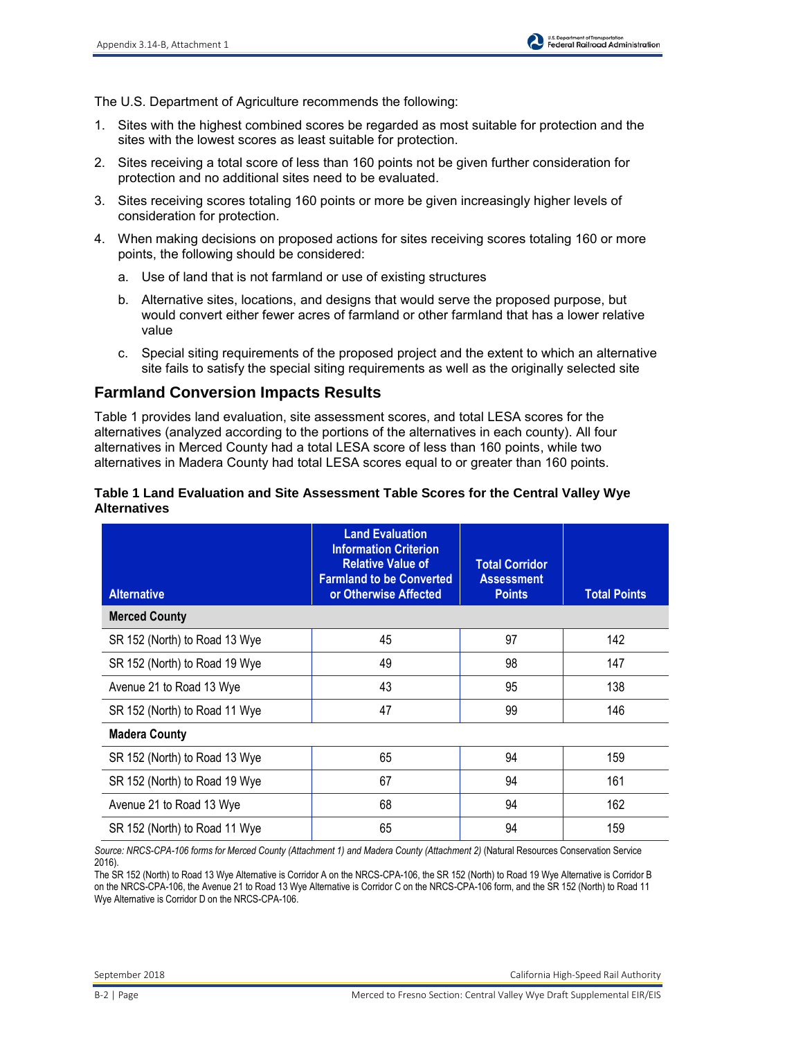The U.S. Department of Agriculture recommends the following:

- 1. Sites with the highest combined scores be regarded as most suitable for protection and the sites with the lowest scores as least suitable for protection.
- 2. Sites receiving a total score of less than 160 points not be given further consideration for protection and no additional sites need to be evaluated.
- 3. Sites receiving scores totaling 160 points or more be given increasingly higher levels of consideration for protection.
- 4. When making decisions on proposed actions for sites receiving scores totaling 160 or more points, the following should be considered:
	- a. Use of land that is not farmland or use of existing structures
	- b. Alternative sites, locations, and designs that would serve the proposed purpose, but would convert either fewer acres of farmland or other farmland that has a lower relative value
	- c. Special siting requirements of the proposed project and the extent to which an alternative site fails to satisfy the special siting requirements as well as the originally selected site

# **Farmland Conversion Impacts Results**

Table 1 provides land evaluation, site assessment scores, and total LESA scores for the alternatives (analyzed according to the portions of the alternatives in each county). All four alternatives in Merced County had a total LESA score of less than 160 points, while two alternatives in Madera County had total LESA scores equal to or greater than 160 points.

#### **Table 1 Land Evaluation and Site Assessment Table Scores for the Central Valley Wye Alternatives**

| <b>Alternative</b>            | <b>Land Evaluation</b><br><b>Information Criterion</b><br><b>Relative Value of</b><br><b>Farmland to be Converted</b><br>or Otherwise Affected | <b>Total Corridor</b><br><b>Assessment</b><br><b>Points</b> | <b>Total Points</b> |
|-------------------------------|------------------------------------------------------------------------------------------------------------------------------------------------|-------------------------------------------------------------|---------------------|
| <b>Merced County</b>          |                                                                                                                                                |                                                             |                     |
| SR 152 (North) to Road 13 Wye | 45                                                                                                                                             | 97                                                          | 142                 |
| SR 152 (North) to Road 19 Wye | 49                                                                                                                                             | 98                                                          | 147                 |
| Avenue 21 to Road 13 Wye      | 43                                                                                                                                             | 95                                                          | 138                 |
| SR 152 (North) to Road 11 Wye | 47                                                                                                                                             | 99                                                          | 146                 |
| <b>Madera County</b>          |                                                                                                                                                |                                                             |                     |
| SR 152 (North) to Road 13 Wye | 65                                                                                                                                             | 94                                                          | 159                 |
| SR 152 (North) to Road 19 Wye | 67                                                                                                                                             | 94                                                          | 161                 |
| Avenue 21 to Road 13 Wye      | 68                                                                                                                                             | 94                                                          | 162                 |
| SR 152 (North) to Road 11 Wye | 65                                                                                                                                             | 94                                                          | 159                 |

*Source: NRCS-CPA-106 forms for Merced County (Attachment 1) and Madera County (Attachment 2)* (Natural Resources Conservation Service 2016).

The SR 152 (North) to Road 13 Wye Alternative is Corridor A on the NRCS-CPA-106, the SR 152 (North) to Road 19 Wye Alternative is Corridor B on the NRCS-CPA-106, the Avenue 21 to Road 13 Wye Alternative is Corridor C on the NRCS-CPA-106 form, and the SR 152 (North) to Road 11 Wye Alternative is Corridor D on the NRCS-CPA-106.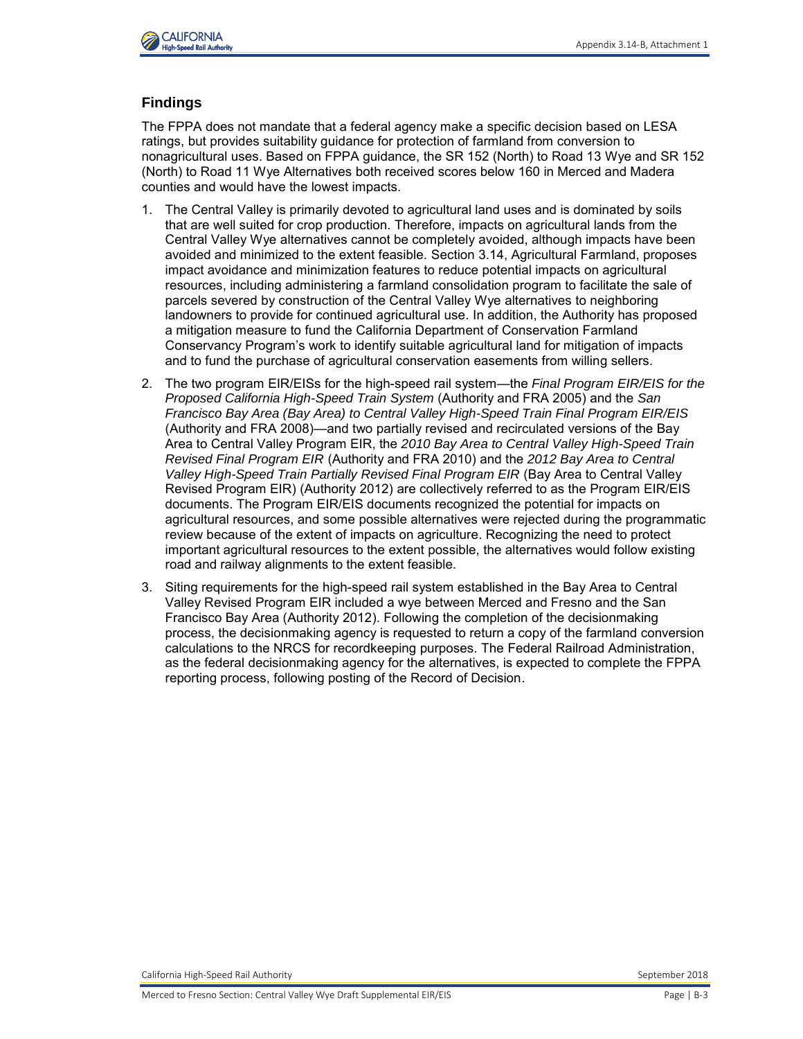

### **Findings**

The FPPA does not mandate that a federal agency make a specific decision based on LESA ratings, but provides suitability guidance for protection of farmland from conversion to nonagricultural uses. Based on FPPA guidance, the SR 152 (North) to Road 13 Wye and SR 152 (North) to Road 11 Wye Alternatives both received scores below 160 in Merced and Madera counties and would have the lowest impacts.

- 1. The Central Valley is primarily devoted to agricultural land uses and is dominated by soils that are well suited for crop production. Therefore, impacts on agricultural lands from the Central Valley Wye alternatives cannot be completely avoided, although impacts have been avoided and minimized to the extent feasible. Section 3.14, Agricultural Farmland, proposes impact avoidance and minimization features to reduce potential impacts on agricultural resources, including administering a farmland consolidation program to facilitate the sale of parcels severed by construction of the Central Valley Wye alternatives to neighboring landowners to provide for continued agricultural use. In addition, the Authority has proposed a mitigation measure to fund the California Department of Conservation Farmland Conservancy Program's work to identify suitable agricultural land for mitigation of impacts and to fund the purchase of agricultural conservation easements from willing sellers.
- 2. The two program EIR/EISs for the high-speed rail system—the *Final Program EIR/EIS for the Proposed California High-Speed Train System* (Authority and FRA 2005) and the *San Francisco Bay Area (Bay Area) to Central Valley High-Speed Train Final Program EIR/EIS* (Authority and FRA 2008)—and two partially revised and recirculated versions of the Bay Area to Central Valley Program EIR, the *2010 Bay Area to Central Valley High-Speed Train Revised Final Program EIR* (Authority and FRA 2010) and the *2012 Bay Area to Central Valley High-Speed Train Partially Revised Final Program EIR* (Bay Area to Central Valley Revised Program EIR) (Authority 2012) are collectively referred to as the Program EIR/EIS documents. The Program EIR/EIS documents recognized the potential for impacts on agricultural resources, and some possible alternatives were rejected during the programmatic review because of the extent of impacts on agriculture. Recognizing the need to protect important agricultural resources to the extent possible, the alternatives would follow existing road and railway alignments to the extent feasible.
- 3. Siting requirements for the high-speed rail system established in the Bay Area to Central Valley Revised Program EIR included a wye between Merced and Fresno and the San Francisco Bay Area (Authority 2012). Following the completion of the decisionmaking process, the decisionmaking agency is requested to return a copy of the farmland conversion calculations to the NRCS for recordkeeping purposes. The Federal Railroad Administration, as the federal decisionmaking agency for the alternatives, is expected to complete the FPPA reporting process, following posting of the Record of Decision.

California High-Speed Rail Authority **September 2018** September 2018